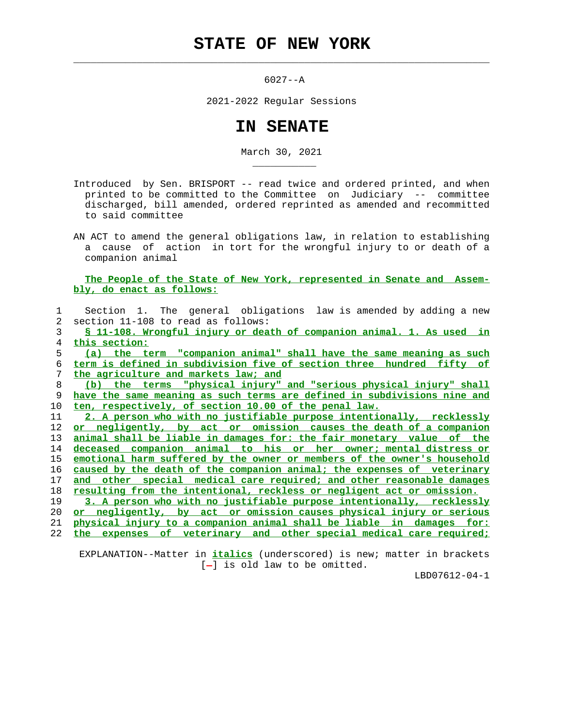## **STATE OF NEW YORK**

 $\mathcal{L}_\text{max} = \frac{1}{2} \sum_{i=1}^{n} \frac{1}{2} \sum_{i=1}^{n} \frac{1}{2} \sum_{i=1}^{n} \frac{1}{2} \sum_{i=1}^{n} \frac{1}{2} \sum_{i=1}^{n} \frac{1}{2} \sum_{i=1}^{n} \frac{1}{2} \sum_{i=1}^{n} \frac{1}{2} \sum_{i=1}^{n} \frac{1}{2} \sum_{i=1}^{n} \frac{1}{2} \sum_{i=1}^{n} \frac{1}{2} \sum_{i=1}^{n} \frac{1}{2} \sum_{i=1}^{n} \frac{1$ 

\_\_\_\_\_\_\_\_\_\_\_

6027--A

2021-2022 Regular Sessions

## **IN SENATE**

March 30, 2021

 Introduced by Sen. BRISPORT -- read twice and ordered printed, and when printed to be committed to the Committee on Judiciary -- committee discharged, bill amended, ordered reprinted as amended and recommitted to said committee

 AN ACT to amend the general obligations law, in relation to establishing a cause of action in tort for the wrongful injury to or death of a companion animal

 **The People of the State of New York, represented in Senate and Assem bly, do enact as follows:**

|               | Section 1. The general obligations law is amended by adding a new            |
|---------------|------------------------------------------------------------------------------|
| $\mathcal{L}$ | section 11-108 to read as follows:                                           |
| 3             | <u>S 11-108. Wrongful injury or death of companion animal. 1. As used in</u> |
| 4             | this section:                                                                |
| 5             | (a) the term "companion animal" shall have the same meaning as such          |
| 6             | term is defined in subdivision five of section three hundred fifty of        |
| 7             | the agriculture and markets law; and                                         |
| 8             | the terms "physical injury" and "serious physical injury" shall<br>(b)       |
| 9             | have the same meaning as such terms are defined in subdivisions nine and     |
| 10            | ten, respectively, of section 10.00 of the penal law.                        |
| 11            | 2. A person who with no justifiable purpose intentionally, recklessly        |
| 12            | or negligently, by act or omission causes the death of a companion           |
| 13            | animal shall be liable in damages for: the fair monetary value of the        |
| 14            | deceased companion animal to his or her owner; mental distress or            |
| 15            | emotional harm suffered by the owner or members of the owner's household     |
| 16            | caused by the death of the companion animal; the expenses of veterinary      |
| 17            | other special medical care required; and other reasonable damages<br>and     |
| 18            | resulting from the intentional, reckless or negligent act or omission.       |
| 19            | 3. A person who with no justifiable purpose intentionally, recklessly        |
| 20            | or negligently, by act or omission causes physical injury or serious         |
| 21            | physical injury to a companion animal shall be liable in damages for:        |
| 22            | of veterinary and other special medical care required;<br>the<br>expenses    |
|               |                                                                              |

 EXPLANATION--Matter in **italics** (underscored) is new; matter in brackets  $[-]$  is old law to be omitted.

LBD07612-04-1